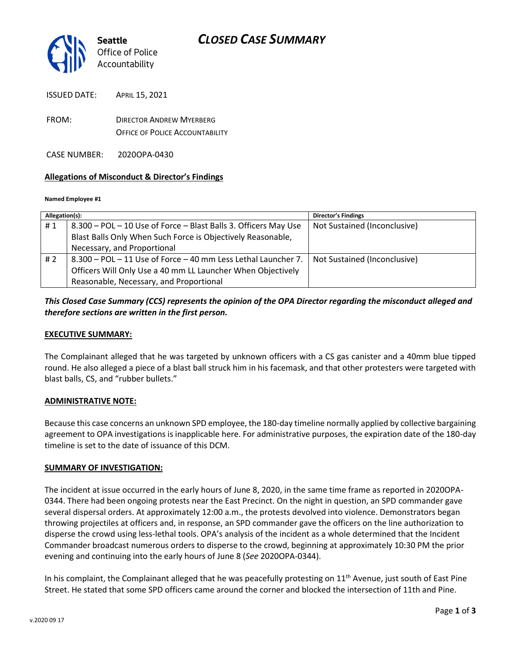

ISSUED DATE: APRIL 15, 2021

FROM: DIRECTOR ANDREW MYERBERG OFFICE OF POLICE ACCOUNTABILITY

CASE NUMBER: 2020OPA-0430

#### **Allegations of Misconduct & Director's Findings**

#### **Named Employee #1**

| Allegation(s): |                                                                 | <b>Director's Findings</b>   |
|----------------|-----------------------------------------------------------------|------------------------------|
| #1             | 8.300 - POL - 10 Use of Force - Blast Balls 3. Officers May Use | Not Sustained (Inconclusive) |
|                | Blast Balls Only When Such Force is Objectively Reasonable,     |                              |
|                | Necessary, and Proportional                                     |                              |
| #2             | 8.300 - POL - 11 Use of Force - 40 mm Less Lethal Launcher 7.   | Not Sustained (Inconclusive) |
|                | Officers Will Only Use a 40 mm LL Launcher When Objectively     |                              |
|                | Reasonable, Necessary, and Proportional                         |                              |

## *This Closed Case Summary (CCS) represents the opinion of the OPA Director regarding the misconduct alleged and therefore sections are written in the first person.*

#### **EXECUTIVE SUMMARY:**

The Complainant alleged that he was targeted by unknown officers with a CS gas canister and a 40mm blue tipped round. He also alleged a piece of a blast ball struck him in his facemask, and that other protesters were targeted with blast balls, CS, and "rubber bullets."

#### **ADMINISTRATIVE NOTE:**

Because this case concerns an unknown SPD employee, the 180-day timeline normally applied by collective bargaining agreement to OPA investigations is inapplicable here. For administrative purposes, the expiration date of the 180-day timeline is set to the date of issuance of this DCM.

#### **SUMMARY OF INVESTIGATION:**

The incident at issue occurred in the early hours of June 8, 2020, in the same time frame as reported in 2020OPA-0344. There had been ongoing protests near the East Precinct. On the night in question, an SPD commander gave several dispersal orders. At approximately 12:00 a.m., the protests devolved into violence. Demonstrators began throwing projectiles at officers and, in response, an SPD commander gave the officers on the line authorization to disperse the crowd using less-lethal tools. OPA's analysis of the incident as a whole determined that the Incident Commander broadcast numerous orders to disperse to the crowd, beginning at approximately 10:30 PM the prior evening and continuing into the early hours of June 8 (*See* 2020OPA-0344).

In his complaint, the Complainant alleged that he was peacefully protesting on  $11<sup>th</sup>$  Avenue, just south of East Pine Street. He stated that some SPD officers came around the corner and blocked the intersection of 11th and Pine.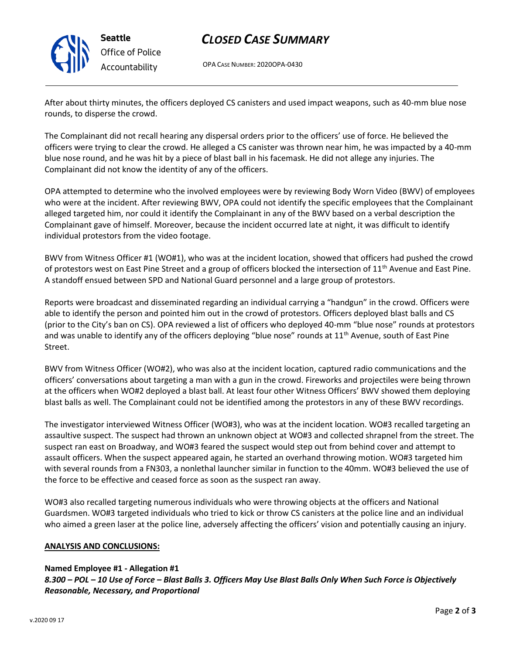

# *CLOSED CASE SUMMARY*

OPA CASE NUMBER: 2020OPA-0430

After about thirty minutes, the officers deployed CS canisters and used impact weapons, such as 40-mm blue nose rounds, to disperse the crowd.

The Complainant did not recall hearing any dispersal orders prior to the officers' use of force. He believed the officers were trying to clear the crowd. He alleged a CS canister was thrown near him, he was impacted by a 40-mm blue nose round, and he was hit by a piece of blast ball in his facemask. He did not allege any injuries. The Complainant did not know the identity of any of the officers.

OPA attempted to determine who the involved employees were by reviewing Body Worn Video (BWV) of employees who were at the incident. After reviewing BWV, OPA could not identify the specific employees that the Complainant alleged targeted him, nor could it identify the Complainant in any of the BWV based on a verbal description the Complainant gave of himself. Moreover, because the incident occurred late at night, it was difficult to identify individual protestors from the video footage.

BWV from Witness Officer #1 (WO#1), who was at the incident location, showed that officers had pushed the crowd of protestors west on East Pine Street and a group of officers blocked the intersection of  $11<sup>th</sup>$  Avenue and East Pine. A standoff ensued between SPD and National Guard personnel and a large group of protestors.

Reports were broadcast and disseminated regarding an individual carrying a "handgun" in the crowd. Officers were able to identify the person and pointed him out in the crowd of protestors. Officers deployed blast balls and CS (prior to the City's ban on CS). OPA reviewed a list of officers who deployed 40-mm "blue nose" rounds at protestors and was unable to identify any of the officers deploying "blue nose" rounds at 11<sup>th</sup> Avenue, south of East Pine Street.

BWV from Witness Officer (WO#2), who was also at the incident location, captured radio communications and the officers' conversations about targeting a man with a gun in the crowd. Fireworks and projectiles were being thrown at the officers when WO#2 deployed a blast ball. At least four other Witness Officers' BWV showed them deploying blast balls as well. The Complainant could not be identified among the protestors in any of these BWV recordings.

The investigator interviewed Witness Officer (WO#3), who was at the incident location. WO#3 recalled targeting an assaultive suspect. The suspect had thrown an unknown object at WO#3 and collected shrapnel from the street. The suspect ran east on Broadway, and WO#3 feared the suspect would step out from behind cover and attempt to assault officers. When the suspect appeared again, he started an overhand throwing motion. WO#3 targeted him with several rounds from a FN303, a nonlethal launcher similar in function to the 40mm. WO#3 believed the use of the force to be effective and ceased force as soon as the suspect ran away.

WO#3 also recalled targeting numerous individuals who were throwing objects at the officers and National Guardsmen. WO#3 targeted individuals who tried to kick or throw CS canisters at the police line and an individual who aimed a green laser at the police line, adversely affecting the officers' vision and potentially causing an injury.

#### **ANALYSIS AND CONCLUSIONS:**

#### **Named Employee #1 - Allegation #1**

*8.300 – POL – 10 Use of Force – Blast Balls 3. Officers May Use Blast Balls Only When Such Force is Objectively Reasonable, Necessary, and Proportional*